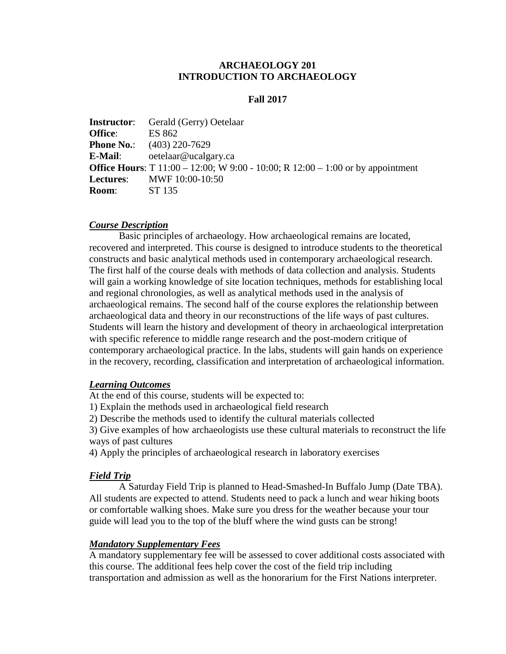# **ARCHAEOLOGY 201 INTRODUCTION TO ARCHAEOLOGY**

### **Fall 2017**

|                | <b>Instructor:</b> Gerald (Gerry) Oetelaar                                             |
|----------------|----------------------------------------------------------------------------------------|
| <b>Office:</b> | ES 862                                                                                 |
|                | <b>Phone No.:</b> $(403)$ 220-7629                                                     |
| E-Mail:        | oetelaar@ucalgary.ca                                                                   |
|                | <b>Office Hours:</b> T 11:00 – 12:00; W 9:00 - 10:00; R 12:00 – 1:00 or by appointment |
|                | <b>Lectures:</b> MWF 10:00-10:50                                                       |
| <b>Room:</b>   | ST 135                                                                                 |

#### *Course Description*

Basic principles of archaeology. How archaeological remains are located, recovered and interpreted. This course is designed to introduce students to the theoretical constructs and basic analytical methods used in contemporary archaeological research. The first half of the course deals with methods of data collection and analysis. Students will gain a working knowledge of site location techniques, methods for establishing local and regional chronologies, as well as analytical methods used in the analysis of archaeological remains. The second half of the course explores the relationship between archaeological data and theory in our reconstructions of the life ways of past cultures. Students will learn the history and development of theory in archaeological interpretation with specific reference to middle range research and the post-modern critique of contemporary archaeological practice. In the labs, students will gain hands on experience in the recovery, recording, classification and interpretation of archaeological information.

#### *Learning Outcomes*

At the end of this course, students will be expected to:

1) Explain the methods used in archaeological field research

2) Describe the methods used to identify the cultural materials collected

3) Give examples of how archaeologists use these cultural materials to reconstruct the life ways of past cultures

4) Apply the principles of archaeological research in laboratory exercises

#### *Field Trip*

A Saturday Field Trip is planned to Head-Smashed-In Buffalo Jump (Date TBA). All students are expected to attend. Students need to pack a lunch and wear hiking boots or comfortable walking shoes. Make sure you dress for the weather because your tour guide will lead you to the top of the bluff where the wind gusts can be strong!

## *Mandatory Supplementary Fees*

A mandatory supplementary fee will be assessed to cover additional costs associated with this course. The additional fees help cover the cost of the field trip including transportation and admission as well as the honorarium for the First Nations interpreter.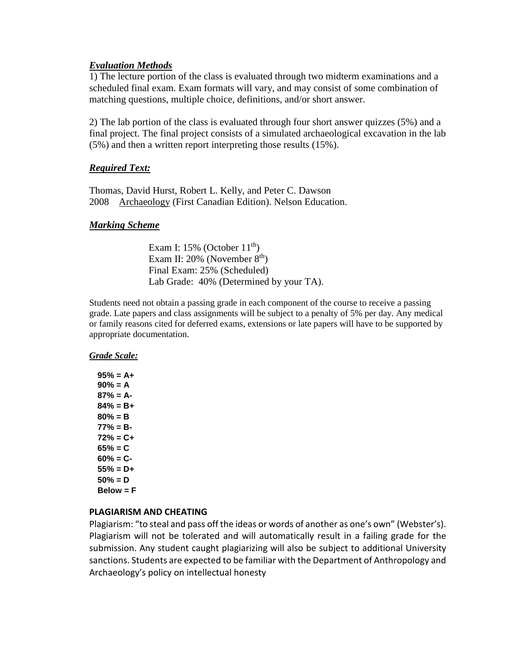# *Evaluation Methods*

1) The lecture portion of the class is evaluated through two midterm examinations and a scheduled final exam. Exam formats will vary, and may consist of some combination of matching questions, multiple choice, definitions, and/or short answer.

2) The lab portion of the class is evaluated through four short answer quizzes (5%) and a final project. The final project consists of a simulated archaeological excavation in the lab (5%) and then a written report interpreting those results (15%).

# *Required Text:*

Thomas, David Hurst, Robert L. Kelly, and Peter C. Dawson 2008 Archaeology (First Canadian Edition). Nelson Education.

#### *Marking Scheme*

Exam I:  $15\%$  (October  $11<sup>th</sup>$ ) Exam II:  $20\%$  (November  $8<sup>th</sup>$ ) Final Exam: 25% (Scheduled) Lab Grade: 40% (Determined by your TA).

Students need not obtain a passing grade in each component of the course to receive a passing grade. Late papers and class assignments will be subject to a penalty of 5% per day. Any medical or family reasons cited for deferred exams, extensions or late papers will have to be supported by appropriate documentation.

#### *Grade Scale:*

**95% = A+ 90% = A 87% = A-84% = B+ 80% = B 77% = B-72% = C+ 65% = C 60% = C-55% = D+ 50% = D Below = F**

#### **PLAGIARISM AND CHEATING**

Plagiarism: "to steal and pass off the ideas or words of another as one's own" (Webster's). Plagiarism will not be tolerated and will automatically result in a failing grade for the submission. Any student caught plagiarizing will also be subject to additional University sanctions. Students are expected to be familiar with the Department of Anthropology and Archaeology's policy on intellectual honesty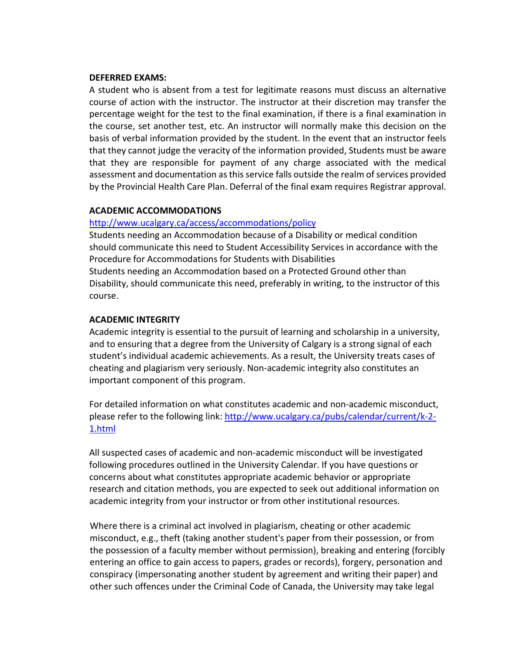#### **DEFERRED EXAMS:**

A student who is absent from a test for legitimate reasons must discuss an alternative course of action with the instructor. The instructor at their discretion may transfer the percentage weight for the test to the final examination, if there is a final examination in the course, set another test, etc. An instructor will normally make this decision on the basis of verbal information provided by the student. In the event that an instructor feels that they cannot judge the veracity of the information provided, Students must be aware that they are responsible for payment of any charge associated with the medical assessment and documentation as this service falls outside the realm of services provided by the Provincial Health Care Plan. Deferral of the final exam requires Registrar approval.

## **ACADEMIC ACCOMMODATIONS**

#### <http://www.ucalgary.ca/access/accommodations/policy>

Students needing an Accommodation because of a Disability or medical condition should communicate this need to Student Accessibility Services in accordance with the Procedure for Accommodations for Students with Disabilities Students needing an Accommodation based on a Protected Ground other than Disability, should communicate this need, preferably in writing, to the instructor of this course.

## **ACADEMIC INTEGRITY**

Academic integrity is essential to the pursuit of learning and scholarship in a university, and to ensuring that a degree from the University of Calgary is a strong signal of each student's individual academic achievements. As a result, the University treats cases of cheating and plagiarism very seriously. Non-academic integrity also constitutes an important component of this program.

For detailed information on what constitutes academic and non-academic misconduct, please refer to the following link: [http://www.ucalgary.ca/pubs/calendar/current/k-2-](http://www.ucalgary.ca/pubs/calendar/current/k-2-1.html) [1.html](http://www.ucalgary.ca/pubs/calendar/current/k-2-1.html)

All suspected cases of academic and non-academic misconduct will be investigated following procedures outlined in the University Calendar. If you have questions or concerns about what constitutes appropriate academic behavior or appropriate research and citation methods, you are expected to seek out additional information on academic integrity from your instructor or from other institutional resources.

Where there is a criminal act involved in plagiarism, cheating or other academic misconduct, e.g., theft (taking another student's paper from their possession, or from the possession of a faculty member without permission), breaking and entering (forcibly entering an office to gain access to papers, grades or records), forgery, personation and conspiracy (impersonating another student by agreement and writing their paper) and other such offences under the Criminal Code of Canada, the University may take legal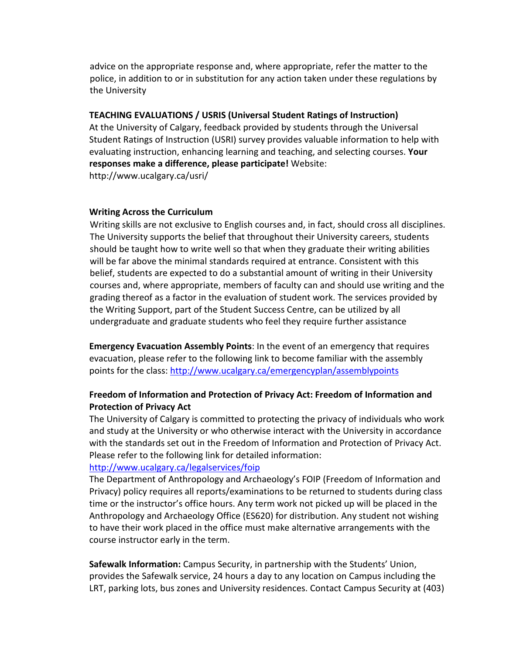advice on the appropriate response and, where appropriate, refer the matter to the police, in addition to or in substitution for any action taken under these regulations by the University

## **TEACHING EVALUATIONS / USRIS (Universal Student Ratings of Instruction)**

At the University of Calgary, feedback provided by students through the Universal Student Ratings of Instruction (USRI) survey provides valuable information to help with evaluating instruction, enhancing learning and teaching, and selecting courses. **Your responses make a difference, please participate!** Website:

http://www.ucalgary.ca/usri/

#### **Writing Across the Curriculum**

Writing skills are not exclusive to English courses and, in fact, should cross all disciplines. The University supports the belief that throughout their University careers, students should be taught how to write well so that when they graduate their writing abilities will be far above the minimal standards required at entrance. Consistent with this belief, students are expected to do a substantial amount of writing in their University courses and, where appropriate, members of faculty can and should use writing and the grading thereof as a factor in the evaluation of student work. The services provided by the Writing Support, part of the Student Success Centre, can be utilized by all undergraduate and graduate students who feel they require further assistance

**Emergency Evacuation Assembly Points**: In the event of an emergency that requires evacuation, please refer to the following link to become familiar with the assembly points for the class:<http://www.ucalgary.ca/emergencyplan/assemblypoints>

# **Freedom of Information and Protection of Privacy Act: Freedom of Information and Protection of Privacy Act**

The University of Calgary is committed to protecting the privacy of individuals who work and study at the University or who otherwise interact with the University in accordance with the standards set out in the Freedom of Information and Protection of Privacy Act. Please refer to the following link for detailed information:

# <http://www.ucalgary.ca/legalservices/foip>

The Department of Anthropology and Archaeology's FOIP (Freedom of Information and Privacy) policy requires all reports/examinations to be returned to students during class time or the instructor's office hours. Any term work not picked up will be placed in the Anthropology and Archaeology Office (ES620) for distribution. Any student not wishing to have their work placed in the office must make alternative arrangements with the course instructor early in the term.

**Safewalk Information:** Campus Security, in partnership with the Students' Union, provides the Safewalk service, 24 hours a day to any location on Campus including the LRT, parking lots, bus zones and University residences. Contact Campus Security at (403)